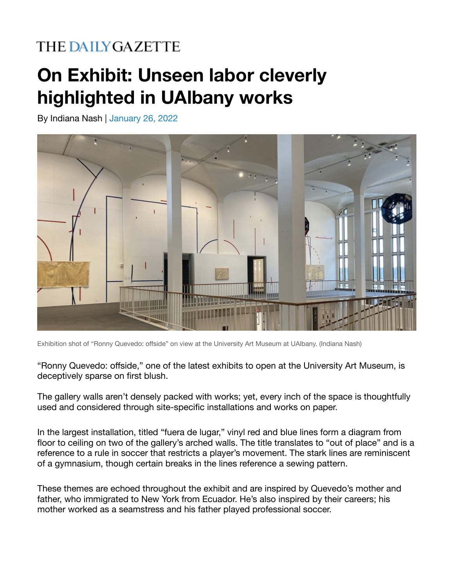## **THE DAILY GAZETTE**

## **On Exhibit: Unseen labor cleverly highlighted in UAlbany works**

By Indiana Nash | January 26, 2022



Exhibition shot of "Ronny Quevedo: offside" on view at the University Art Museum at UAlbany. (Indiana Nash)

"Ronny Quevedo: offside," one of the latest exhibits to open at the University Art Museum, is deceptively sparse on first blush.

The gallery walls aren't densely packed with works; yet, every inch of the space is thoughtfully used and considered through site-specific installations and works on paper.

In the largest installation, titled "fuera de lugar," vinyl red and blue lines form a diagram from floor to ceiling on two of the gallery's arched walls. The title translates to "out of place" and is a reference to a rule in soccer that restricts a player's movement. The stark lines are reminiscent of a gymnasium, though certain breaks in the lines reference a sewing pattern.

These themes are echoed throughout the exhibit and are inspired by Quevedo's mother and father, who immigrated to New York from Ecuador. He's also inspired by their careers; his mother worked as a seamstress and his father played professional soccer.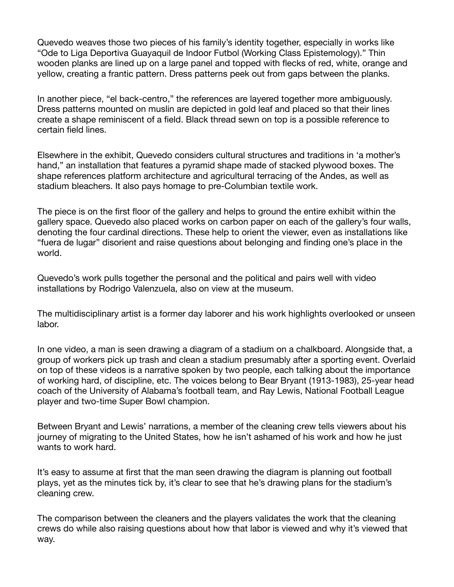Quevedo weaves those two pieces of his family's identity together, especially in works like "Ode to Liga Deportiva Guayaquil de Indoor Futbol (Working Class Epistemology)." Thin wooden planks are lined up on a large panel and topped with flecks of red, white, orange and yellow, creating a frantic pattern. Dress patterns peek out from gaps between the planks.

In another piece, "el back-centro," the references are layered together more ambiguously. Dress patterns mounted on muslin are depicted in gold leaf and placed so that their lines create a shape reminiscent of a field. Black thread sewn on top is a possible reference to certain field lines.

Elsewhere in the exhibit, Quevedo considers cultural structures and traditions in 'a mother's hand," an installation that features a pyramid shape made of stacked plywood boxes. The shape references platform architecture and agricultural terracing of the Andes, as well as stadium bleachers. It also pays homage to pre-Columbian textile work.

The piece is on the first floor of the gallery and helps to ground the entire exhibit within the gallery space. Quevedo also placed works on carbon paper on each of the gallery's four walls, denoting the four cardinal directions. These help to orient the viewer, even as installations like "fuera de lugar" disorient and raise questions about belonging and finding one's place in the world.

Quevedo's work pulls together the personal and the political and pairs well with video installations by Rodrigo Valenzuela, also on view at the museum.

The multidisciplinary artist is a former day laborer and his work highlights overlooked or unseen labor.

In one video, a man is seen drawing a diagram of a stadium on a chalkboard. Alongside that, a group of workers pick up trash and clean a stadium presumably after a sporting event. Overlaid on top of these videos is a narrative spoken by two people, each talking about the importance of working hard, of discipline, etc. The voices belong to Bear Bryant (1913-1983), 25-year head coach of the University of Alabama's football team, and Ray Lewis, National Football League player and two-time Super Bowl champion.

Between Bryant and Lewis' narrations, a member of the cleaning crew tells viewers about his journey of migrating to the United States, how he isn't ashamed of his work and how he just wants to work hard.

It's easy to assume at first that the man seen drawing the diagram is planning out football plays, yet as the minutes tick by, it's clear to see that he's drawing plans for the stadium's cleaning crew.

The comparison between the cleaners and the players validates the work that the cleaning crews do while also raising questions about how that labor is viewed and why it's viewed that way.